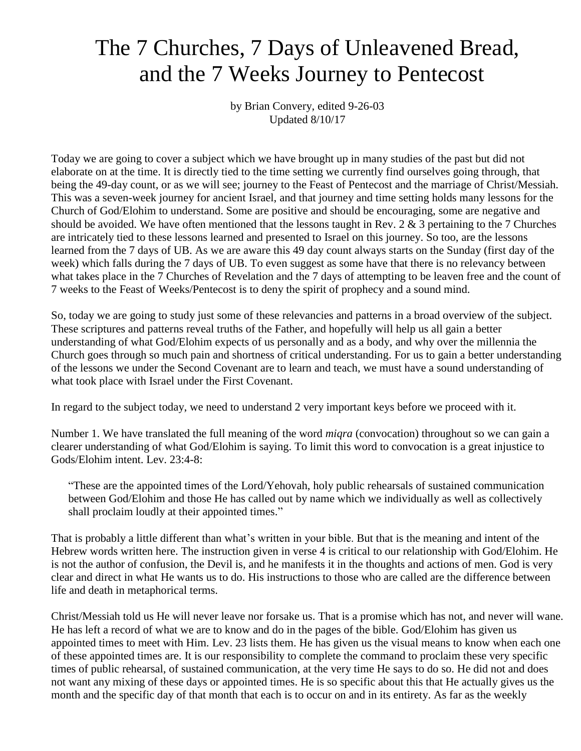## The 7 Churches, 7 Days of Unleavened Bread, and the 7 Weeks Journey to Pentecost

by Brian Convery, edited 9-26-03 Updated 8/10/17

Today we are going to cover a subject which we have brought up in many studies of the past but did not elaborate on at the time. It is directly tied to the time setting we currently find ourselves going through, that being the 49-day count, or as we will see; journey to the Feast of Pentecost and the marriage of Christ/Messiah. This was a seven-week journey for ancient Israel, and that journey and time setting holds many lessons for the Church of God/Elohim to understand. Some are positive and should be encouraging, some are negative and should be avoided. We have often mentioned that the lessons taught in Rev. 2  $\&$  3 pertaining to the 7 Churches are intricately tied to these lessons learned and presented to Israel on this journey. So too, are the lessons learned from the 7 days of UB. As we are aware this 49 day count always starts on the Sunday (first day of the week) which falls during the 7 days of UB. To even suggest as some have that there is no relevancy between what takes place in the 7 Churches of Revelation and the 7 days of attempting to be leaven free and the count of 7 weeks to the Feast of Weeks/Pentecost is to deny the spirit of prophecy and a sound mind.

So, today we are going to study just some of these relevancies and patterns in a broad overview of the subject. These scriptures and patterns reveal truths of the Father, and hopefully will help us all gain a better understanding of what God/Elohim expects of us personally and as a body, and why over the millennia the Church goes through so much pain and shortness of critical understanding. For us to gain a better understanding of the lessons we under the Second Covenant are to learn and teach, we must have a sound understanding of what took place with Israel under the First Covenant.

In regard to the subject today, we need to understand 2 very important keys before we proceed with it.

Number 1. We have translated the full meaning of the word *miqra* (convocation) throughout so we can gain a clearer understanding of what God/Elohim is saying. To limit this word to convocation is a great injustice to Gods/Elohim intent. Lev. 23:4-8:

"These are the appointed times of the Lord/Yehovah, holy public rehearsals of sustained communication between God/Elohim and those He has called out by name which we individually as well as collectively shall proclaim loudly at their appointed times."

That is probably a little different than what's written in your bible. But that is the meaning and intent of the Hebrew words written here. The instruction given in verse 4 is critical to our relationship with God/Elohim. He is not the author of confusion, the Devil is, and he manifests it in the thoughts and actions of men. God is very clear and direct in what He wants us to do. His instructions to those who are called are the difference between life and death in metaphorical terms.

Christ/Messiah told us He will never leave nor forsake us. That is a promise which has not, and never will wane. He has left a record of what we are to know and do in the pages of the bible. God/Elohim has given us appointed times to meet with Him. Lev. 23 lists them. He has given us the visual means to know when each one of these appointed times are. It is our responsibility to complete the command to proclaim these very specific times of public rehearsal, of sustained communication, at the very time He says to do so. He did not and does not want any mixing of these days or appointed times. He is so specific about this that He actually gives us the month and the specific day of that month that each is to occur on and in its entirety. As far as the weekly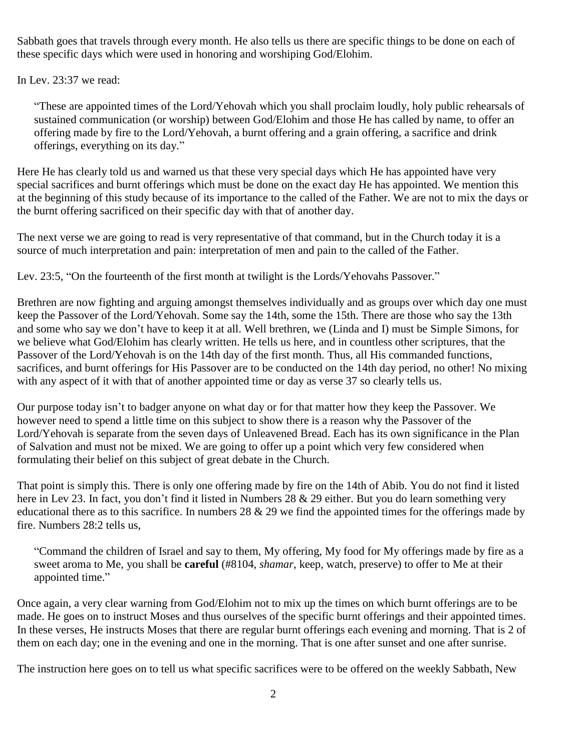Sabbath goes that travels through every month. He also tells us there are specific things to be done on each of these specific days which were used in honoring and worshiping God/Elohim.

In Lev. 23:37 we read:

"These are appointed times of the Lord/Yehovah which you shall proclaim loudly, holy public rehearsals of sustained communication (or worship) between God/Elohim and those He has called by name, to offer an offering made by fire to the Lord/Yehovah, a burnt offering and a grain offering, a sacrifice and drink offerings, everything on its day."

Here He has clearly told us and warned us that these very special days which He has appointed have very special sacrifices and burnt offerings which must be done on the exact day He has appointed. We mention this at the beginning of this study because of its importance to the called of the Father. We are not to mix the days or the burnt offering sacrificed on their specific day with that of another day.

The next verse we are going to read is very representative of that command, but in the Church today it is a source of much interpretation and pain: interpretation of men and pain to the called of the Father.

Lev. 23:5, "On the fourteenth of the first month at twilight is the Lords/Yehovahs Passover."

Brethren are now fighting and arguing amongst themselves individually and as groups over which day one must keep the Passover of the Lord/Yehovah. Some say the 14th, some the 15th. There are those who say the 13th and some who say we don't have to keep it at all. Well brethren, we (Linda and I) must be Simple Simons, for we believe what God/Elohim has clearly written. He tells us here, and in countless other scriptures, that the Passover of the Lord/Yehovah is on the 14th day of the first month. Thus, all His commanded functions, sacrifices, and burnt offerings for His Passover are to be conducted on the 14th day period, no other! No mixing with any aspect of it with that of another appointed time or day as verse 37 so clearly tells us.

Our purpose today isn't to badger anyone on what day or for that matter how they keep the Passover. We however need to spend a little time on this subject to show there is a reason why the Passover of the Lord/Yehovah is separate from the seven days of Unleavened Bread. Each has its own significance in the Plan of Salvation and must not be mixed. We are going to offer up a point which very few considered when formulating their belief on this subject of great debate in the Church.

That point is simply this. There is only one offering made by fire on the 14th of Abib. You do not find it listed here in Lev 23. In fact, you don't find it listed in Numbers 28 & 29 either. But you do learn something very educational there as to this sacrifice. In numbers  $28 \& 29$  we find the appointed times for the offerings made by fire. Numbers 28:2 tells us,

"Command the children of Israel and say to them, My offering, My food for My offerings made by fire as a sweet aroma to Me, you shall be **careful** (#8104, *shamar*, keep, watch, preserve) to offer to Me at their appointed time."

Once again, a very clear warning from God/Elohim not to mix up the times on which burnt offerings are to be made. He goes on to instruct Moses and thus ourselves of the specific burnt offerings and their appointed times. In these verses, He instructs Moses that there are regular burnt offerings each evening and morning. That is 2 of them on each day; one in the evening and one in the morning. That is one after sunset and one after sunrise.

The instruction here goes on to tell us what specific sacrifices were to be offered on the weekly Sabbath, New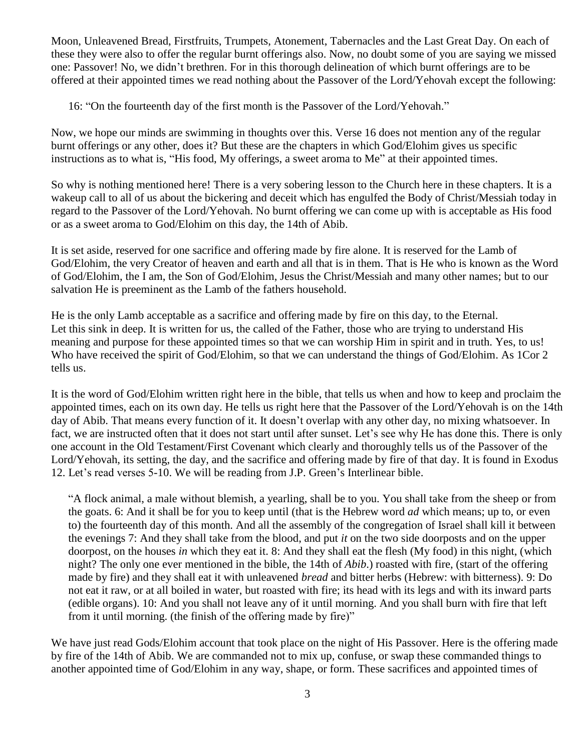Moon, Unleavened Bread, Firstfruits, Trumpets, Atonement, Tabernacles and the Last Great Day. On each of these they were also to offer the regular burnt offerings also. Now, no doubt some of you are saying we missed one: Passover! No, we didn't brethren. For in this thorough delineation of which burnt offerings are to be offered at their appointed times we read nothing about the Passover of the Lord/Yehovah except the following:

16: "On the fourteenth day of the first month is the Passover of the Lord/Yehovah."

Now, we hope our minds are swimming in thoughts over this. Verse 16 does not mention any of the regular burnt offerings or any other, does it? But these are the chapters in which God/Elohim gives us specific instructions as to what is, "His food, My offerings, a sweet aroma to Me" at their appointed times.

So why is nothing mentioned here! There is a very sobering lesson to the Church here in these chapters. It is a wakeup call to all of us about the bickering and deceit which has engulfed the Body of Christ/Messiah today in regard to the Passover of the Lord/Yehovah. No burnt offering we can come up with is acceptable as His food or as a sweet aroma to God/Elohim on this day, the 14th of Abib.

It is set aside, reserved for one sacrifice and offering made by fire alone. It is reserved for the Lamb of God/Elohim, the very Creator of heaven and earth and all that is in them. That is He who is known as the Word of God/Elohim, the I am, the Son of God/Elohim, Jesus the Christ/Messiah and many other names; but to our salvation He is preeminent as the Lamb of the fathers household.

He is the only Lamb acceptable as a sacrifice and offering made by fire on this day, to the Eternal. Let this sink in deep. It is written for us, the called of the Father, those who are trying to understand His meaning and purpose for these appointed times so that we can worship Him in spirit and in truth. Yes, to us! Who have received the spirit of God/Elohim, so that we can understand the things of God/Elohim. As 1Cor 2 tells us.

It is the word of God/Elohim written right here in the bible, that tells us when and how to keep and proclaim the appointed times, each on its own day. He tells us right here that the Passover of the Lord/Yehovah is on the 14th day of Abib. That means every function of it. It doesn't overlap with any other day, no mixing whatsoever. In fact, we are instructed often that it does not start until after sunset. Let's see why He has done this. There is only one account in the Old Testament/First Covenant which clearly and thoroughly tells us of the Passover of the Lord/Yehovah, its setting, the day, and the sacrifice and offering made by fire of that day. It is found in Exodus 12. Let's read verses 5-10. We will be reading from J.P. Green's Interlinear bible.

"A flock animal, a male without blemish, a yearling, shall be to you. You shall take from the sheep or from the goats. 6: And it shall be for you to keep until (that is the Hebrew word *ad* which means; up to, or even to) the fourteenth day of this month. And all the assembly of the congregation of Israel shall kill it between the evenings 7: And they shall take from the blood, and put *it* on the two side doorposts and on the upper doorpost, on the houses *in* which they eat it. 8: And they shall eat the flesh (My food) in this night, (which night? The only one ever mentioned in the bible, the 14th of *Abib*.) roasted with fire, (start of the offering made by fire) and they shall eat it with unleavened *bread* and bitter herbs (Hebrew: with bitterness). 9: Do not eat it raw, or at all boiled in water, but roasted with fire; its head with its legs and with its inward parts (edible organs). 10: And you shall not leave any of it until morning. And you shall burn with fire that left from it until morning. (the finish of the offering made by fire)"

We have just read Gods/Elohim account that took place on the night of His Passover. Here is the offering made by fire of the 14th of Abib. We are commanded not to mix up, confuse, or swap these commanded things to another appointed time of God/Elohim in any way, shape, or form. These sacrifices and appointed times of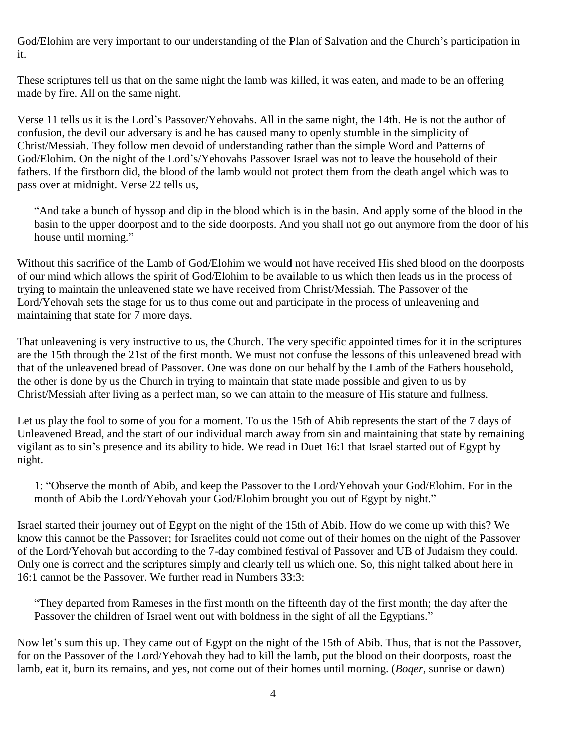God/Elohim are very important to our understanding of the Plan of Salvation and the Church's participation in it.

These scriptures tell us that on the same night the lamb was killed, it was eaten, and made to be an offering made by fire. All on the same night.

Verse 11 tells us it is the Lord's Passover/Yehovahs. All in the same night, the 14th. He is not the author of confusion, the devil our adversary is and he has caused many to openly stumble in the simplicity of Christ/Messiah. They follow men devoid of understanding rather than the simple Word and Patterns of God/Elohim. On the night of the Lord's/Yehovahs Passover Israel was not to leave the household of their fathers. If the firstborn did, the blood of the lamb would not protect them from the death angel which was to pass over at midnight. Verse 22 tells us,

"And take a bunch of hyssop and dip in the blood which is in the basin. And apply some of the blood in the basin to the upper doorpost and to the side doorposts. And you shall not go out anymore from the door of his house until morning."

Without this sacrifice of the Lamb of God/Elohim we would not have received His shed blood on the doorposts of our mind which allows the spirit of God/Elohim to be available to us which then leads us in the process of trying to maintain the unleavened state we have received from Christ/Messiah. The Passover of the Lord/Yehovah sets the stage for us to thus come out and participate in the process of unleavening and maintaining that state for 7 more days.

That unleavening is very instructive to us, the Church. The very specific appointed times for it in the scriptures are the 15th through the 21st of the first month. We must not confuse the lessons of this unleavened bread with that of the unleavened bread of Passover. One was done on our behalf by the Lamb of the Fathers household, the other is done by us the Church in trying to maintain that state made possible and given to us by Christ/Messiah after living as a perfect man, so we can attain to the measure of His stature and fullness.

Let us play the fool to some of you for a moment. To us the 15th of Abib represents the start of the 7 days of Unleavened Bread, and the start of our individual march away from sin and maintaining that state by remaining vigilant as to sin's presence and its ability to hide. We read in Duet 16:1 that Israel started out of Egypt by night.

1: "Observe the month of Abib, and keep the Passover to the Lord/Yehovah your God/Elohim. For in the month of Abib the Lord/Yehovah your God/Elohim brought you out of Egypt by night."

Israel started their journey out of Egypt on the night of the 15th of Abib. How do we come up with this? We know this cannot be the Passover; for Israelites could not come out of their homes on the night of the Passover of the Lord/Yehovah but according to the 7-day combined festival of Passover and UB of Judaism they could. Only one is correct and the scriptures simply and clearly tell us which one. So, this night talked about here in 16:1 cannot be the Passover. We further read in Numbers 33:3:

"They departed from Rameses in the first month on the fifteenth day of the first month; the day after the Passover the children of Israel went out with boldness in the sight of all the Egyptians."

Now let's sum this up. They came out of Egypt on the night of the 15th of Abib. Thus, that is not the Passover, for on the Passover of the Lord/Yehovah they had to kill the lamb, put the blood on their doorposts, roast the lamb, eat it, burn its remains, and yes, not come out of their homes until morning. (*Boqer*, sunrise or dawn)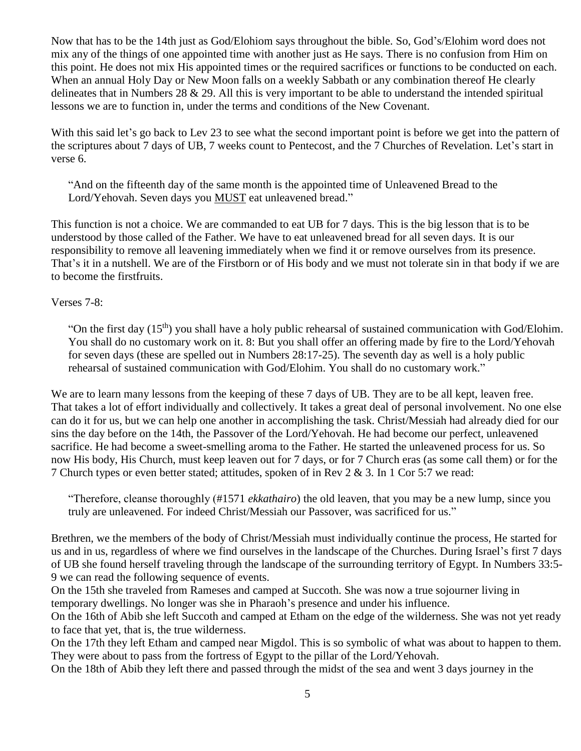Now that has to be the 14th just as God/Elohiom says throughout the bible. So, God's/Elohim word does not mix any of the things of one appointed time with another just as He says. There is no confusion from Him on this point. He does not mix His appointed times or the required sacrifices or functions to be conducted on each. When an annual Holy Day or New Moon falls on a weekly Sabbath or any combination thereof He clearly delineates that in Numbers 28 & 29. All this is very important to be able to understand the intended spiritual lessons we are to function in, under the terms and conditions of the New Covenant.

With this said let's go back to Lev 23 to see what the second important point is before we get into the pattern of the scriptures about 7 days of UB, 7 weeks count to Pentecost, and the 7 Churches of Revelation. Let's start in verse 6.

"And on the fifteenth day of the same month is the appointed time of Unleavened Bread to the Lord/Yehovah. Seven days you MUST eat unleavened bread."

This function is not a choice. We are commanded to eat UB for 7 days. This is the big lesson that is to be understood by those called of the Father. We have to eat unleavened bread for all seven days. It is our responsibility to remove all leavening immediately when we find it or remove ourselves from its presence. That's it in a nutshell. We are of the Firstborn or of His body and we must not tolerate sin in that body if we are to become the firstfruits.

## Verses 7-8:

"On the first day  $(15<sup>th</sup>)$  you shall have a holy public rehearsal of sustained communication with God/Elohim. You shall do no customary work on it. 8: But you shall offer an offering made by fire to the Lord/Yehovah for seven days (these are spelled out in Numbers 28:17-25). The seventh day as well is a holy public rehearsal of sustained communication with God/Elohim. You shall do no customary work."

We are to learn many lessons from the keeping of these 7 days of UB. They are to be all kept, leaven free. That takes a lot of effort individually and collectively. It takes a great deal of personal involvement. No one else can do it for us, but we can help one another in accomplishing the task. Christ/Messiah had already died for our sins the day before on the 14th, the Passover of the Lord/Yehovah. He had become our perfect, unleavened sacrifice. He had become a sweet-smelling aroma to the Father. He started the unleavened process for us. So now His body, His Church, must keep leaven out for 7 days, or for 7 Church eras (as some call them) or for the 7 Church types or even better stated; attitudes, spoken of in Rev 2 & 3. In 1 Cor 5:7 we read:

"Therefore, cleanse thoroughly (#1571 *ekkathairo*) the old leaven, that you may be a new lump, since you truly are unleavened. For indeed Christ/Messiah our Passover, was sacrificed for us."

Brethren, we the members of the body of Christ/Messiah must individually continue the process, He started for us and in us, regardless of where we find ourselves in the landscape of the Churches. During Israel's first 7 days of UB she found herself traveling through the landscape of the surrounding territory of Egypt. In Numbers 33:5- 9 we can read the following sequence of events.

On the 15th she traveled from Rameses and camped at Succoth. She was now a true sojourner living in temporary dwellings. No longer was she in Pharaoh's presence and under his influence.

On the 16th of Abib she left Succoth and camped at Etham on the edge of the wilderness. She was not yet ready to face that yet, that is, the true wilderness.

On the 17th they left Etham and camped near Migdol. This is so symbolic of what was about to happen to them. They were about to pass from the fortress of Egypt to the pillar of the Lord/Yehovah.

On the 18th of Abib they left there and passed through the midst of the sea and went 3 days journey in the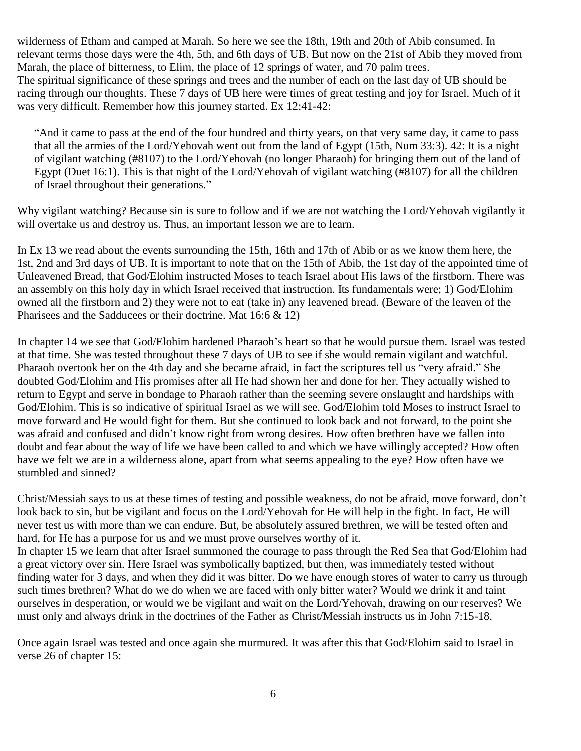wilderness of Etham and camped at Marah. So here we see the 18th, 19th and 20th of Abib consumed. In relevant terms those days were the 4th, 5th, and 6th days of UB. But now on the 21st of Abib they moved from Marah, the place of bitterness, to Elim, the place of 12 springs of water, and 70 palm trees. The spiritual significance of these springs and trees and the number of each on the last day of UB should be racing through our thoughts. These 7 days of UB here were times of great testing and joy for Israel. Much of it was very difficult. Remember how this journey started. Ex 12:41-42:

"And it came to pass at the end of the four hundred and thirty years, on that very same day, it came to pass that all the armies of the Lord/Yehovah went out from the land of Egypt (15th, Num 33:3). 42: It is a night of vigilant watching (#8107) to the Lord/Yehovah (no longer Pharaoh) for bringing them out of the land of Egypt (Duet 16:1). This is that night of the Lord/Yehovah of vigilant watching (#8107) for all the children of Israel throughout their generations."

Why vigilant watching? Because sin is sure to follow and if we are not watching the Lord/Yehovah vigilantly it will overtake us and destroy us. Thus, an important lesson we are to learn.

In Ex 13 we read about the events surrounding the 15th, 16th and 17th of Abib or as we know them here, the 1st, 2nd and 3rd days of UB. It is important to note that on the 15th of Abib, the 1st day of the appointed time of Unleavened Bread, that God/Elohim instructed Moses to teach Israel about His laws of the firstborn. There was an assembly on this holy day in which Israel received that instruction. Its fundamentals were; 1) God/Elohim owned all the firstborn and 2) they were not to eat (take in) any leavened bread. (Beware of the leaven of the Pharisees and the Sadducees or their doctrine. Mat 16:6 & 12)

In chapter 14 we see that God/Elohim hardened Pharaoh's heart so that he would pursue them. Israel was tested at that time. She was tested throughout these 7 days of UB to see if she would remain vigilant and watchful. Pharaoh overtook her on the 4th day and she became afraid, in fact the scriptures tell us "very afraid." She doubted God/Elohim and His promises after all He had shown her and done for her. They actually wished to return to Egypt and serve in bondage to Pharaoh rather than the seeming severe onslaught and hardships with God/Elohim. This is so indicative of spiritual Israel as we will see. God/Elohim told Moses to instruct Israel to move forward and He would fight for them. But she continued to look back and not forward, to the point she was afraid and confused and didn't know right from wrong desires. How often brethren have we fallen into doubt and fear about the way of life we have been called to and which we have willingly accepted? How often have we felt we are in a wilderness alone, apart from what seems appealing to the eye? How often have we stumbled and sinned?

Christ/Messiah says to us at these times of testing and possible weakness, do not be afraid, move forward, don't look back to sin, but be vigilant and focus on the Lord/Yehovah for He will help in the fight. In fact, He will never test us with more than we can endure. But, be absolutely assured brethren, we will be tested often and hard, for He has a purpose for us and we must prove ourselves worthy of it.

In chapter 15 we learn that after Israel summoned the courage to pass through the Red Sea that God/Elohim had a great victory over sin. Here Israel was symbolically baptized, but then, was immediately tested without finding water for 3 days, and when they did it was bitter. Do we have enough stores of water to carry us through such times brethren? What do we do when we are faced with only bitter water? Would we drink it and taint ourselves in desperation, or would we be vigilant and wait on the Lord/Yehovah, drawing on our reserves? We must only and always drink in the doctrines of the Father as Christ/Messiah instructs us in John 7:15-18.

Once again Israel was tested and once again she murmured. It was after this that God/Elohim said to Israel in verse 26 of chapter 15: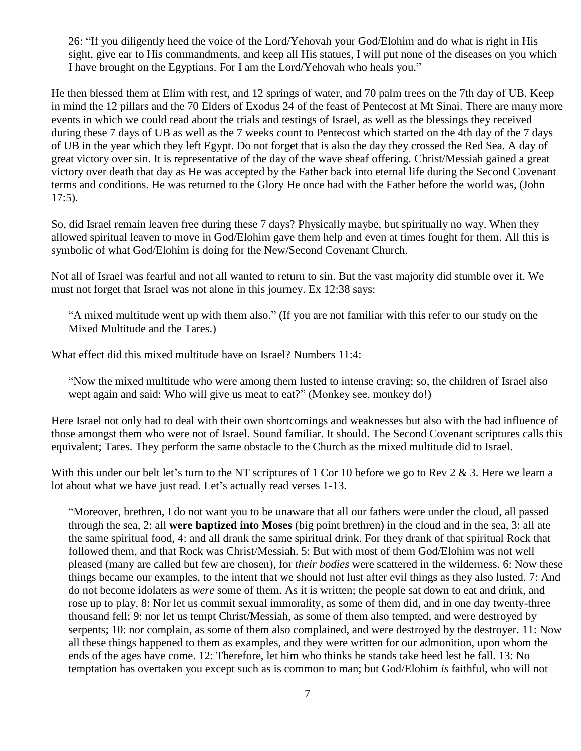26: "If you diligently heed the voice of the Lord/Yehovah your God/Elohim and do what is right in His sight, give ear to His commandments, and keep all His statues, I will put none of the diseases on you which I have brought on the Egyptians. For I am the Lord/Yehovah who heals you."

He then blessed them at Elim with rest, and 12 springs of water, and 70 palm trees on the 7th day of UB. Keep in mind the 12 pillars and the 70 Elders of Exodus 24 of the feast of Pentecost at Mt Sinai. There are many more events in which we could read about the trials and testings of Israel, as well as the blessings they received during these 7 days of UB as well as the 7 weeks count to Pentecost which started on the 4th day of the 7 days of UB in the year which they left Egypt. Do not forget that is also the day they crossed the Red Sea. A day of great victory over sin. It is representative of the day of the wave sheaf offering. Christ/Messiah gained a great victory over death that day as He was accepted by the Father back into eternal life during the Second Covenant terms and conditions. He was returned to the Glory He once had with the Father before the world was, (John 17:5).

So, did Israel remain leaven free during these 7 days? Physically maybe, but spiritually no way. When they allowed spiritual leaven to move in God/Elohim gave them help and even at times fought for them. All this is symbolic of what God/Elohim is doing for the New/Second Covenant Church.

Not all of Israel was fearful and not all wanted to return to sin. But the vast majority did stumble over it. We must not forget that Israel was not alone in this journey. Ex 12:38 says:

"A mixed multitude went up with them also." (If you are not familiar with this refer to our study on the Mixed Multitude and the Tares.)

What effect did this mixed multitude have on Israel? Numbers 11:4:

"Now the mixed multitude who were among them lusted to intense craving; so, the children of Israel also wept again and said: Who will give us meat to eat?" (Monkey see, monkey do!)

Here Israel not only had to deal with their own shortcomings and weaknesses but also with the bad influence of those amongst them who were not of Israel. Sound familiar. It should. The Second Covenant scriptures calls this equivalent; Tares. They perform the same obstacle to the Church as the mixed multitude did to Israel.

With this under our belt let's turn to the NT scriptures of 1 Cor 10 before we go to Rev 2 & 3. Here we learn a lot about what we have just read. Let's actually read verses 1-13.

"Moreover, brethren, I do not want you to be unaware that all our fathers were under the cloud, all passed through the sea, 2: all **were baptized into Moses** (big point brethren) in the cloud and in the sea, 3: all ate the same spiritual food, 4: and all drank the same spiritual drink. For they drank of that spiritual Rock that followed them, and that Rock was Christ/Messiah. 5: But with most of them God/Elohim was not well pleased (many are called but few are chosen), for *their bodies* were scattered in the wilderness. 6: Now these things became our examples, to the intent that we should not lust after evil things as they also lusted. 7: And do not become idolaters as *were* some of them. As it is written; the people sat down to eat and drink, and rose up to play. 8: Nor let us commit sexual immorality, as some of them did, and in one day twenty-three thousand fell; 9: nor let us tempt Christ/Messiah, as some of them also tempted, and were destroyed by serpents; 10: nor complain, as some of them also complained, and were destroyed by the destroyer. 11: Now all these things happened to them as examples, and they were written for our admonition, upon whom the ends of the ages have come. 12: Therefore, let him who thinks he stands take heed lest he fall. 13: No temptation has overtaken you except such as is common to man; but God/Elohim *is* faithful, who will not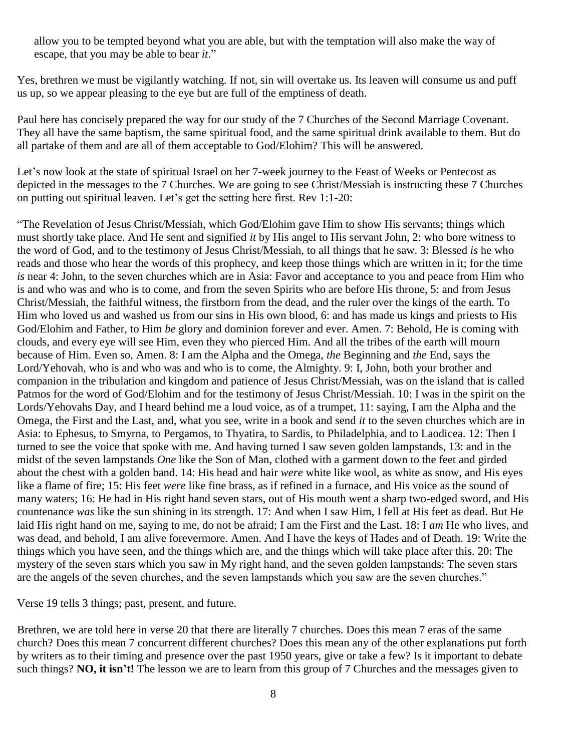allow you to be tempted beyond what you are able, but with the temptation will also make the way of escape, that you may be able to bear *it*."

Yes, brethren we must be vigilantly watching. If not, sin will overtake us. Its leaven will consume us and puff us up, so we appear pleasing to the eye but are full of the emptiness of death.

Paul here has concisely prepared the way for our study of the 7 Churches of the Second Marriage Covenant. They all have the same baptism, the same spiritual food, and the same spiritual drink available to them. But do all partake of them and are all of them acceptable to God/Elohim? This will be answered.

Let's now look at the state of spiritual Israel on her 7-week journey to the Feast of Weeks or Pentecost as depicted in the messages to the 7 Churches. We are going to see Christ/Messiah is instructing these 7 Churches on putting out spiritual leaven. Let's get the setting here first. Rev 1:1-20:

"The Revelation of Jesus Christ/Messiah, which God/Elohim gave Him to show His servants; things which must shortly take place. And He sent and signified *it* by His angel to His servant John, 2: who bore witness to the word of God, and to the testimony of Jesus Christ/Messiah, to all things that he saw. 3: Blessed *is* he who reads and those who hear the words of this prophecy, and keep those things which are written in it; for the time *is* near 4: John, to the seven churches which are in Asia: Favor and acceptance to you and peace from Him who is and who was and who is to come, and from the seven Spirits who are before His throne, 5: and from Jesus Christ/Messiah, the faithful witness, the firstborn from the dead, and the ruler over the kings of the earth. To Him who loved us and washed us from our sins in His own blood, 6: and has made us kings and priests to His God/Elohim and Father, to Him *be* glory and dominion forever and ever. Amen. 7: Behold, He is coming with clouds, and every eye will see Him, even they who pierced Him. And all the tribes of the earth will mourn because of Him. Even so, Amen. 8: I am the Alpha and the Omega, *the* Beginning and *the* End, says the Lord/Yehovah, who is and who was and who is to come, the Almighty. 9: I, John, both your brother and companion in the tribulation and kingdom and patience of Jesus Christ/Messiah, was on the island that is called Patmos for the word of God/Elohim and for the testimony of Jesus Christ/Messiah. 10: I was in the spirit on the Lords/Yehovahs Day, and I heard behind me a loud voice, as of a trumpet, 11: saying, I am the Alpha and the Omega, the First and the Last, and, what you see, write in a book and send *it* to the seven churches which are in Asia: to Ephesus, to Smyrna, to Pergamos, to Thyatira, to Sardis, to Philadelphia, and to Laodicea. 12: Then I turned to see the voice that spoke with me. And having turned I saw seven golden lampstands, 13: and in the midst of the seven lampstands *One* like the Son of Man, clothed with a garment down to the feet and girded about the chest with a golden band. 14: His head and hair *were* white like wool, as white as snow, and His eyes like a flame of fire; 15: His feet *were* like fine brass, as if refined in a furnace, and His voice as the sound of many waters; 16: He had in His right hand seven stars, out of His mouth went a sharp two-edged sword, and His countenance *was* like the sun shining in its strength. 17: And when I saw Him, I fell at His feet as dead. But He laid His right hand on me, saying to me, do not be afraid; I am the First and the Last. 18: I *am* He who lives, and was dead, and behold, I am alive forevermore. Amen. And I have the keys of Hades and of Death. 19: Write the things which you have seen, and the things which are, and the things which will take place after this. 20: The mystery of the seven stars which you saw in My right hand, and the seven golden lampstands: The seven stars are the angels of the seven churches, and the seven lampstands which you saw are the seven churches."

Verse 19 tells 3 things; past, present, and future.

Brethren, we are told here in verse 20 that there are literally 7 churches. Does this mean 7 eras of the same church? Does this mean 7 concurrent different churches? Does this mean any of the other explanations put forth by writers as to their timing and presence over the past 1950 years, give or take a few? Is it important to debate such things? **NO, it isn't!** The lesson we are to learn from this group of 7 Churches and the messages given to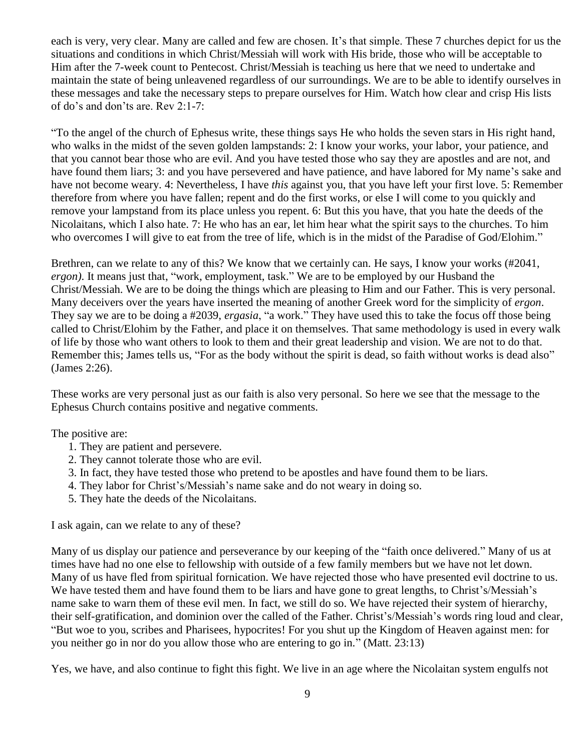each is very, very clear. Many are called and few are chosen. It's that simple. These 7 churches depict for us the situations and conditions in which Christ/Messiah will work with His bride, those who will be acceptable to Him after the 7-week count to Pentecost. Christ/Messiah is teaching us here that we need to undertake and maintain the state of being unleavened regardless of our surroundings. We are to be able to identify ourselves in these messages and take the necessary steps to prepare ourselves for Him. Watch how clear and crisp His lists of do's and don'ts are. Rev 2:1-7:

"To the angel of the church of Ephesus write, these things says He who holds the seven stars in His right hand, who walks in the midst of the seven golden lampstands: 2: I know your works, your labor, your patience, and that you cannot bear those who are evil. And you have tested those who say they are apostles and are not, and have found them liars; 3: and you have persevered and have patience, and have labored for My name's sake and have not become weary. 4: Nevertheless, I have *this* against you, that you have left your first love. 5: Remember therefore from where you have fallen; repent and do the first works, or else I will come to you quickly and remove your lampstand from its place unless you repent. 6: But this you have, that you hate the deeds of the Nicolaitans, which I also hate. 7: He who has an ear, let him hear what the spirit says to the churches. To him who overcomes I will give to eat from the tree of life, which is in the midst of the Paradise of God/Elohim."

Brethren, can we relate to any of this? We know that we certainly can. He says, I know your works (#2041, *ergon)*. It means just that, "work, employment, task." We are to be employed by our Husband the Christ/Messiah. We are to be doing the things which are pleasing to Him and our Father. This is very personal. Many deceivers over the years have inserted the meaning of another Greek word for the simplicity of *ergon*. They say we are to be doing a #2039, *ergasia*, "a work." They have used this to take the focus off those being called to Christ/Elohim by the Father, and place it on themselves. That same methodology is used in every walk of life by those who want others to look to them and their great leadership and vision. We are not to do that. Remember this; James tells us, "For as the body without the spirit is dead, so faith without works is dead also" (James 2:26).

These works are very personal just as our faith is also very personal. So here we see that the message to the Ephesus Church contains positive and negative comments.

The positive are:

- 1. They are patient and persevere.
- 2. They cannot tolerate those who are evil.
- 3. In fact, they have tested those who pretend to be apostles and have found them to be liars.
- 4. They labor for Christ's/Messiah's name sake and do not weary in doing so.
- 5. They hate the deeds of the Nicolaitans.

I ask again, can we relate to any of these?

Many of us display our patience and perseverance by our keeping of the "faith once delivered." Many of us at times have had no one else to fellowship with outside of a few family members but we have not let down. Many of us have fled from spiritual fornication. We have rejected those who have presented evil doctrine to us. We have tested them and have found them to be liars and have gone to great lengths, to Christ's/Messiah's name sake to warn them of these evil men. In fact, we still do so. We have rejected their system of hierarchy, their self-gratification, and dominion over the called of the Father. Christ's/Messiah's words ring loud and clear, "But woe to you, scribes and Pharisees, hypocrites! For you shut up the Kingdom of Heaven against men: for you neither go in nor do you allow those who are entering to go in." (Matt. 23:13)

Yes, we have, and also continue to fight this fight. We live in an age where the Nicolaitan system engulfs not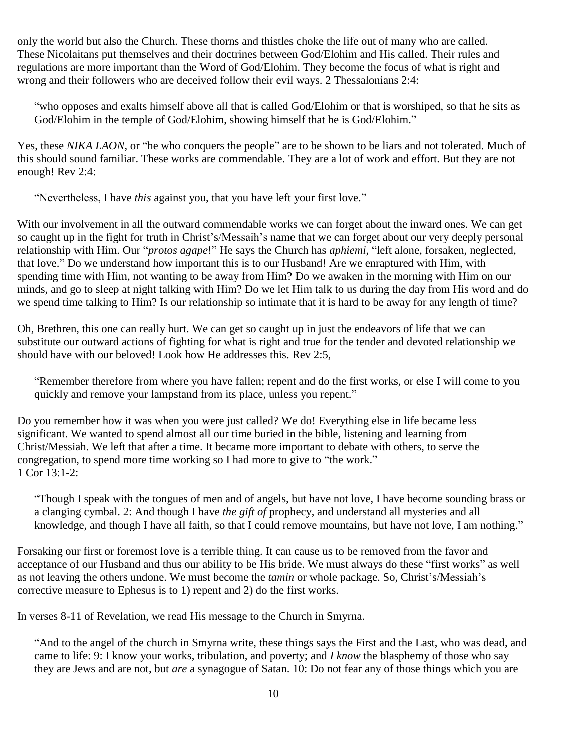only the world but also the Church. These thorns and thistles choke the life out of many who are called. These Nicolaitans put themselves and their doctrines between God/Elohim and His called. Their rules and regulations are more important than the Word of God/Elohim. They become the focus of what is right and wrong and their followers who are deceived follow their evil ways. 2 Thessalonians 2:4:

"who opposes and exalts himself above all that is called God/Elohim or that is worshiped, so that he sits as God/Elohim in the temple of God/Elohim, showing himself that he is God/Elohim."

Yes, these *NIKA LAON*, or "he who conquers the people" are to be shown to be liars and not tolerated. Much of this should sound familiar. These works are commendable. They are a lot of work and effort. But they are not enough! Rev 2:4:

"Nevertheless, I have *this* against you, that you have left your first love."

With our involvement in all the outward commendable works we can forget about the inward ones. We can get so caught up in the fight for truth in Christ's/Messaih's name that we can forget about our very deeply personal relationship with Him. Our "*protos agape*!" He says the Church has *aphiemi*, "left alone, forsaken, neglected, that love." Do we understand how important this is to our Husband! Are we enraptured with Him, with spending time with Him, not wanting to be away from Him? Do we awaken in the morning with Him on our minds, and go to sleep at night talking with Him? Do we let Him talk to us during the day from His word and do we spend time talking to Him? Is our relationship so intimate that it is hard to be away for any length of time?

Oh, Brethren, this one can really hurt. We can get so caught up in just the endeavors of life that we can substitute our outward actions of fighting for what is right and true for the tender and devoted relationship we should have with our beloved! Look how He addresses this. Rev 2:5,

"Remember therefore from where you have fallen; repent and do the first works, or else I will come to you quickly and remove your lampstand from its place, unless you repent."

Do you remember how it was when you were just called? We do! Everything else in life became less significant. We wanted to spend almost all our time buried in the bible, listening and learning from Christ/Messiah. We left that after a time. It became more important to debate with others, to serve the congregation, to spend more time working so I had more to give to "the work." 1 Cor 13:1-2:

"Though I speak with the tongues of men and of angels, but have not love, I have become sounding brass or a clanging cymbal. 2: And though I have *the gift of* prophecy, and understand all mysteries and all knowledge, and though I have all faith, so that I could remove mountains, but have not love, I am nothing."

Forsaking our first or foremost love is a terrible thing. It can cause us to be removed from the favor and acceptance of our Husband and thus our ability to be His bride. We must always do these "first works" as well as not leaving the others undone. We must become the *tamin* or whole package. So, Christ's/Messiah's corrective measure to Ephesus is to 1) repent and 2) do the first works.

In verses 8-11 of Revelation, we read His message to the Church in Smyrna.

"And to the angel of the church in Smyrna write, these things says the First and the Last, who was dead, and came to life: 9: I know your works, tribulation, and poverty; and *I know* the blasphemy of those who say they are Jews and are not, but *are* a synagogue of Satan. 10: Do not fear any of those things which you are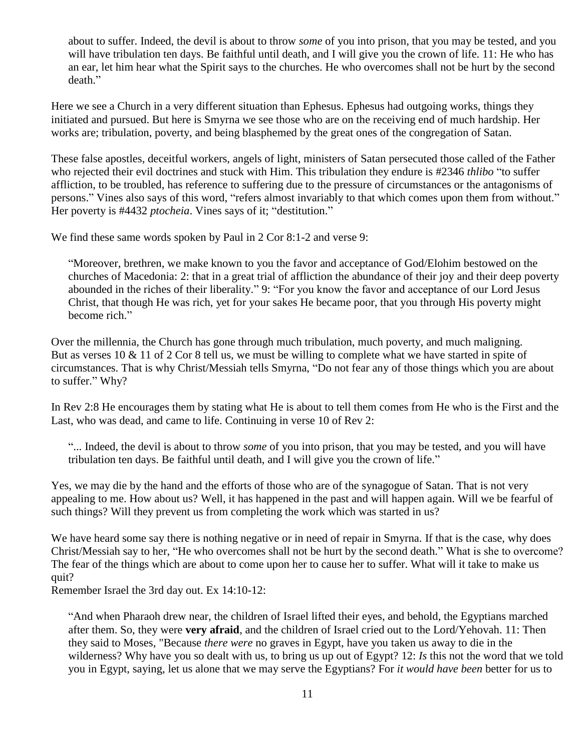about to suffer. Indeed, the devil is about to throw *some* of you into prison, that you may be tested, and you will have tribulation ten days. Be faithful until death, and I will give you the crown of life. 11: He who has an ear, let him hear what the Spirit says to the churches. He who overcomes shall not be hurt by the second death."

Here we see a Church in a very different situation than Ephesus. Ephesus had outgoing works, things they initiated and pursued. But here is Smyrna we see those who are on the receiving end of much hardship. Her works are; tribulation, poverty, and being blasphemed by the great ones of the congregation of Satan.

These false apostles, deceitful workers, angels of light, ministers of Satan persecuted those called of the Father who rejected their evil doctrines and stuck with Him. This tribulation they endure is #2346 *thlibo* "to suffer affliction, to be troubled, has reference to suffering due to the pressure of circumstances or the antagonisms of persons." Vines also says of this word, "refers almost invariably to that which comes upon them from without." Her poverty is #4432 *ptocheia*. Vines says of it; "destitution."

We find these same words spoken by Paul in 2 Cor 8:1-2 and verse 9:

"Moreover, brethren, we make known to you the favor and acceptance of God/Elohim bestowed on the churches of Macedonia: 2: that in a great trial of affliction the abundance of their joy and their deep poverty abounded in the riches of their liberality." 9: "For you know the favor and acceptance of our Lord Jesus Christ, that though He was rich, yet for your sakes He became poor, that you through His poverty might become rich."

Over the millennia, the Church has gone through much tribulation, much poverty, and much maligning. But as verses 10 & 11 of 2 Cor 8 tell us, we must be willing to complete what we have started in spite of circumstances. That is why Christ/Messiah tells Smyrna, "Do not fear any of those things which you are about to suffer." Why?

In Rev 2:8 He encourages them by stating what He is about to tell them comes from He who is the First and the Last, who was dead, and came to life. Continuing in verse 10 of Rev 2:

"... Indeed, the devil is about to throw *some* of you into prison, that you may be tested, and you will have tribulation ten days. Be faithful until death, and I will give you the crown of life."

Yes, we may die by the hand and the efforts of those who are of the synagogue of Satan. That is not very appealing to me. How about us? Well, it has happened in the past and will happen again. Will we be fearful of such things? Will they prevent us from completing the work which was started in us?

We have heard some say there is nothing negative or in need of repair in Smyrna. If that is the case, why does Christ/Messiah say to her, "He who overcomes shall not be hurt by the second death." What is she to overcome? The fear of the things which are about to come upon her to cause her to suffer. What will it take to make us quit?

Remember Israel the 3rd day out. Ex 14:10-12:

"And when Pharaoh drew near, the children of Israel lifted their eyes, and behold, the Egyptians marched after them. So, they were **very afraid**, and the children of Israel cried out to the Lord/Yehovah. 11: Then they said to Moses, "Because *there were* no graves in Egypt, have you taken us away to die in the wilderness? Why have you so dealt with us, to bring us up out of Egypt? 12: *Is* this not the word that we told you in Egypt, saying, let us alone that we may serve the Egyptians? For *it would have been* better for us to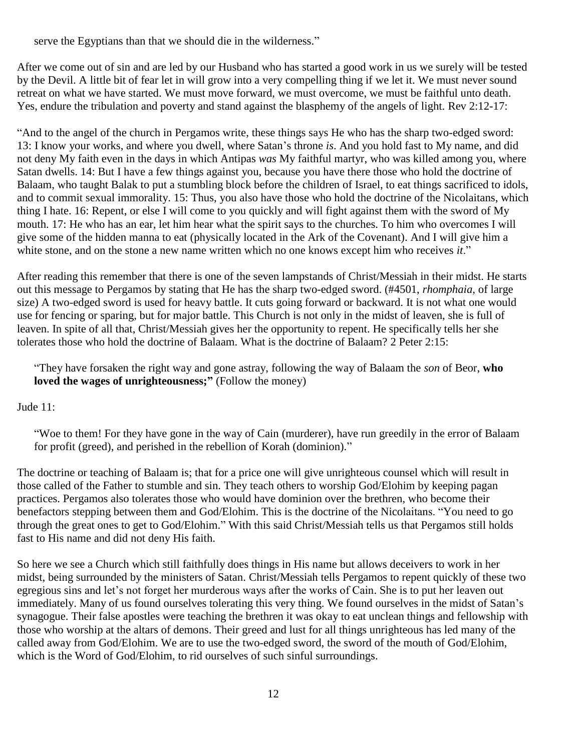serve the Egyptians than that we should die in the wilderness."

After we come out of sin and are led by our Husband who has started a good work in us we surely will be tested by the Devil. A little bit of fear let in will grow into a very compelling thing if we let it. We must never sound retreat on what we have started. We must move forward, we must overcome, we must be faithful unto death. Yes, endure the tribulation and poverty and stand against the blasphemy of the angels of light. Rev 2:12-17:

"And to the angel of the church in Pergamos write, these things says He who has the sharp two-edged sword: 13: I know your works, and where you dwell, where Satan's throne *is*. And you hold fast to My name, and did not deny My faith even in the days in which Antipas *was* My faithful martyr, who was killed among you, where Satan dwells. 14: But I have a few things against you, because you have there those who hold the doctrine of Balaam, who taught Balak to put a stumbling block before the children of Israel, to eat things sacrificed to idols, and to commit sexual immorality. 15: Thus, you also have those who hold the doctrine of the Nicolaitans, which thing I hate. 16: Repent, or else I will come to you quickly and will fight against them with the sword of My mouth. 17: He who has an ear, let him hear what the spirit says to the churches. To him who overcomes I will give some of the hidden manna to eat (physically located in the Ark of the Covenant). And I will give him a white stone, and on the stone a new name written which no one knows except him who receives *it*."

After reading this remember that there is one of the seven lampstands of Christ/Messiah in their midst. He starts out this message to Pergamos by stating that He has the sharp two-edged sword. (#4501, *rhomphaia*, of large size) A two-edged sword is used for heavy battle. It cuts going forward or backward. It is not what one would use for fencing or sparing, but for major battle. This Church is not only in the midst of leaven, she is full of leaven. In spite of all that, Christ/Messiah gives her the opportunity to repent. He specifically tells her she tolerates those who hold the doctrine of Balaam. What is the doctrine of Balaam? 2 Peter 2:15:

"They have forsaken the right way and gone astray, following the way of Balaam the *son* of Beor, **who loved the wages of unrighteousness;"** (Follow the money)

Jude 11:

"Woe to them! For they have gone in the way of Cain (murderer), have run greedily in the error of Balaam for profit (greed), and perished in the rebellion of Korah (dominion)."

The doctrine or teaching of Balaam is; that for a price one will give unrighteous counsel which will result in those called of the Father to stumble and sin. They teach others to worship God/Elohim by keeping pagan practices. Pergamos also tolerates those who would have dominion over the brethren, who become their benefactors stepping between them and God/Elohim. This is the doctrine of the Nicolaitans. "You need to go through the great ones to get to God/Elohim." With this said Christ/Messiah tells us that Pergamos still holds fast to His name and did not deny His faith.

So here we see a Church which still faithfully does things in His name but allows deceivers to work in her midst, being surrounded by the ministers of Satan. Christ/Messiah tells Pergamos to repent quickly of these two egregious sins and let's not forget her murderous ways after the works of Cain. She is to put her leaven out immediately. Many of us found ourselves tolerating this very thing. We found ourselves in the midst of Satan's synagogue. Their false apostles were teaching the brethren it was okay to eat unclean things and fellowship with those who worship at the altars of demons. Their greed and lust for all things unrighteous has led many of the called away from God/Elohim. We are to use the two-edged sword, the sword of the mouth of God/Elohim, which is the Word of God/Elohim, to rid ourselves of such sinful surroundings.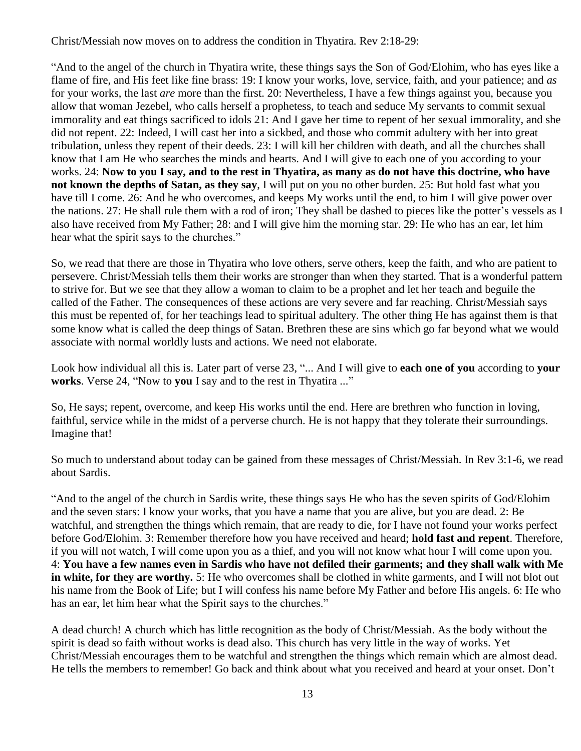Christ/Messiah now moves on to address the condition in Thyatira. Rev 2:18-29:

"And to the angel of the church in Thyatira write, these things says the Son of God/Elohim, who has eyes like a flame of fire, and His feet like fine brass: 19: I know your works, love, service, faith, and your patience; and *as* for your works, the last *are* more than the first. 20: Nevertheless, I have a few things against you, because you allow that woman Jezebel, who calls herself a prophetess, to teach and seduce My servants to commit sexual immorality and eat things sacrificed to idols 21: And I gave her time to repent of her sexual immorality, and she did not repent. 22: Indeed, I will cast her into a sickbed, and those who commit adultery with her into great tribulation, unless they repent of their deeds. 23: I will kill her children with death, and all the churches shall know that I am He who searches the minds and hearts. And I will give to each one of you according to your works. 24: **Now to you I say, and to the rest in Thyatira, as many as do not have this doctrine, who have not known the depths of Satan, as they say**, I will put on you no other burden. 25: But hold fast what you have till I come. 26: And he who overcomes, and keeps My works until the end, to him I will give power over the nations. 27: He shall rule them with a rod of iron; They shall be dashed to pieces like the potter's vessels as I also have received from My Father; 28: and I will give him the morning star. 29: He who has an ear, let him hear what the spirit says to the churches."

So, we read that there are those in Thyatira who love others, serve others, keep the faith, and who are patient to persevere. Christ/Messiah tells them their works are stronger than when they started. That is a wonderful pattern to strive for. But we see that they allow a woman to claim to be a prophet and let her teach and beguile the called of the Father. The consequences of these actions are very severe and far reaching. Christ/Messiah says this must be repented of, for her teachings lead to spiritual adultery. The other thing He has against them is that some know what is called the deep things of Satan. Brethren these are sins which go far beyond what we would associate with normal worldly lusts and actions. We need not elaborate.

Look how individual all this is. Later part of verse 23, "... And I will give to **each one of you** according to **your works**. Verse 24, "Now to **you** I say and to the rest in Thyatira ..."

So, He says; repent, overcome, and keep His works until the end. Here are brethren who function in loving, faithful, service while in the midst of a perverse church. He is not happy that they tolerate their surroundings. Imagine that!

So much to understand about today can be gained from these messages of Christ/Messiah. In Rev 3:1-6, we read about Sardis.

"And to the angel of the church in Sardis write, these things says He who has the seven spirits of God/Elohim and the seven stars: I know your works, that you have a name that you are alive, but you are dead. 2: Be watchful, and strengthen the things which remain, that are ready to die, for I have not found your works perfect before God/Elohim. 3: Remember therefore how you have received and heard; **hold fast and repent**. Therefore, if you will not watch, I will come upon you as a thief, and you will not know what hour I will come upon you. 4: **You have a few names even in Sardis who have not defiled their garments; and they shall walk with Me in white, for they are worthy.** 5: He who overcomes shall be clothed in white garments, and I will not blot out his name from the Book of Life; but I will confess his name before My Father and before His angels. 6: He who has an ear, let him hear what the Spirit says to the churches."

A dead church! A church which has little recognition as the body of Christ/Messiah. As the body without the spirit is dead so faith without works is dead also. This church has very little in the way of works. Yet Christ/Messiah encourages them to be watchful and strengthen the things which remain which are almost dead. He tells the members to remember! Go back and think about what you received and heard at your onset. Don't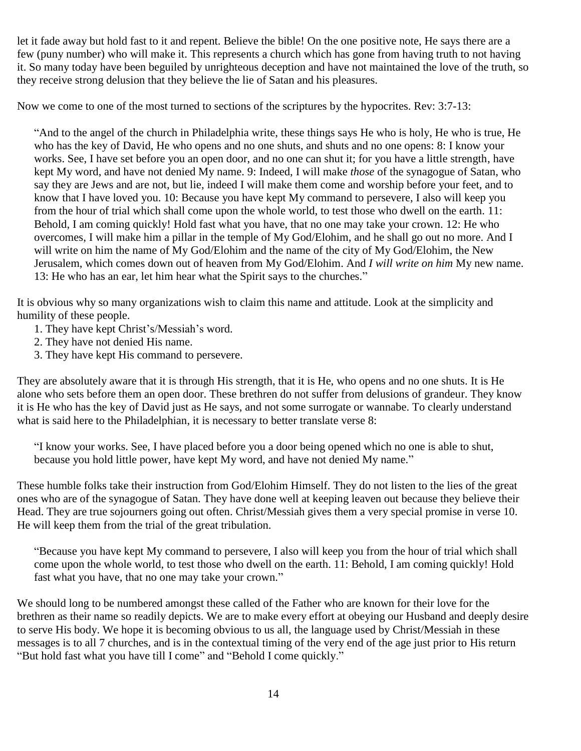let it fade away but hold fast to it and repent. Believe the bible! On the one positive note, He says there are a few (puny number) who will make it. This represents a church which has gone from having truth to not having it. So many today have been beguiled by unrighteous deception and have not maintained the love of the truth, so they receive strong delusion that they believe the lie of Satan and his pleasures.

Now we come to one of the most turned to sections of the scriptures by the hypocrites. Rev: 3:7-13:

"And to the angel of the church in Philadelphia write, these things says He who is holy, He who is true, He who has the key of David, He who opens and no one shuts, and shuts and no one opens: 8: I know your works. See, I have set before you an open door, and no one can shut it; for you have a little strength, have kept My word, and have not denied My name. 9: Indeed, I will make *those* of the synagogue of Satan, who say they are Jews and are not, but lie, indeed I will make them come and worship before your feet, and to know that I have loved you. 10: Because you have kept My command to persevere, I also will keep you from the hour of trial which shall come upon the whole world, to test those who dwell on the earth. 11: Behold, I am coming quickly! Hold fast what you have, that no one may take your crown. 12: He who overcomes, I will make him a pillar in the temple of My God/Elohim, and he shall go out no more. And I will write on him the name of My God/Elohim and the name of the city of My God/Elohim, the New Jerusalem, which comes down out of heaven from My God/Elohim. And *I will write on him* My new name. 13: He who has an ear, let him hear what the Spirit says to the churches."

It is obvious why so many organizations wish to claim this name and attitude. Look at the simplicity and humility of these people.

- 1. They have kept Christ's/Messiah's word.
- 2. They have not denied His name.
- 3. They have kept His command to persevere.

They are absolutely aware that it is through His strength, that it is He, who opens and no one shuts. It is He alone who sets before them an open door. These brethren do not suffer from delusions of grandeur. They know it is He who has the key of David just as He says, and not some surrogate or wannabe. To clearly understand what is said here to the Philadelphian, it is necessary to better translate verse 8:

"I know your works. See, I have placed before you a door being opened which no one is able to shut, because you hold little power, have kept My word, and have not denied My name."

These humble folks take their instruction from God/Elohim Himself. They do not listen to the lies of the great ones who are of the synagogue of Satan. They have done well at keeping leaven out because they believe their Head. They are true sojourners going out often. Christ/Messiah gives them a very special promise in verse 10. He will keep them from the trial of the great tribulation.

"Because you have kept My command to persevere, I also will keep you from the hour of trial which shall come upon the whole world, to test those who dwell on the earth. 11: Behold, I am coming quickly! Hold fast what you have, that no one may take your crown."

We should long to be numbered amongst these called of the Father who are known for their love for the brethren as their name so readily depicts. We are to make every effort at obeying our Husband and deeply desire to serve His body. We hope it is becoming obvious to us all, the language used by Christ/Messiah in these messages is to all 7 churches, and is in the contextual timing of the very end of the age just prior to His return "But hold fast what you have till I come" and "Behold I come quickly."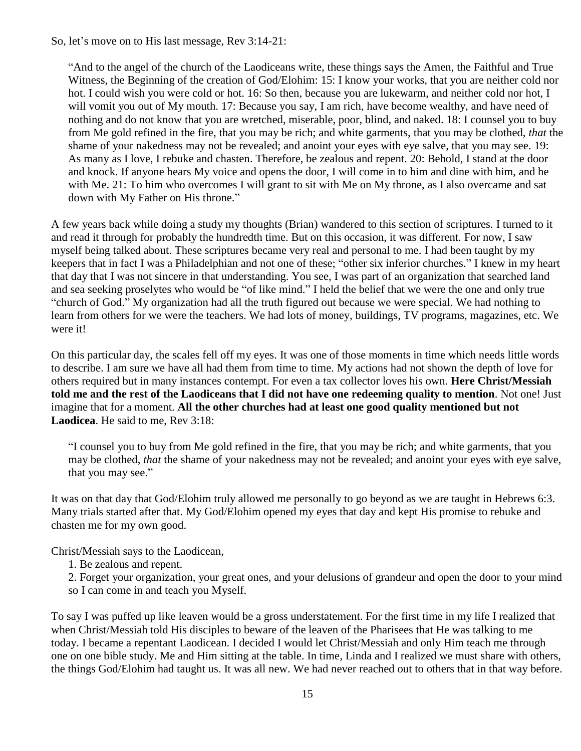So, let's move on to His last message, Rev 3:14-21:

"And to the angel of the church of the Laodiceans write, these things says the Amen, the Faithful and True Witness, the Beginning of the creation of God/Elohim: 15: I know your works, that you are neither cold nor hot. I could wish you were cold or hot. 16: So then, because you are lukewarm, and neither cold nor hot, I will vomit you out of My mouth. 17: Because you say, I am rich, have become wealthy, and have need of nothing and do not know that you are wretched, miserable, poor, blind, and naked. 18: I counsel you to buy from Me gold refined in the fire, that you may be rich; and white garments, that you may be clothed, *that* the shame of your nakedness may not be revealed; and anoint your eyes with eye salve, that you may see. 19: As many as I love, I rebuke and chasten. Therefore, be zealous and repent. 20: Behold, I stand at the door and knock. If anyone hears My voice and opens the door, I will come in to him and dine with him, and he with Me. 21: To him who overcomes I will grant to sit with Me on My throne, as I also overcame and sat down with My Father on His throne."

A few years back while doing a study my thoughts (Brian) wandered to this section of scriptures. I turned to it and read it through for probably the hundredth time. But on this occasion, it was different. For now, I saw myself being talked about. These scriptures became very real and personal to me. I had been taught by my keepers that in fact I was a Philadelphian and not one of these; "other six inferior churches." I knew in my heart that day that I was not sincere in that understanding. You see, I was part of an organization that searched land and sea seeking proselytes who would be "of like mind." I held the belief that we were the one and only true "church of God." My organization had all the truth figured out because we were special. We had nothing to learn from others for we were the teachers. We had lots of money, buildings, TV programs, magazines, etc. We were it!

On this particular day, the scales fell off my eyes. It was one of those moments in time which needs little words to describe. I am sure we have all had them from time to time. My actions had not shown the depth of love for others required but in many instances contempt. For even a tax collector loves his own. **Here Christ/Messiah told me and the rest of the Laodiceans that I did not have one redeeming quality to mention**. Not one! Just imagine that for a moment. **All the other churches had at least one good quality mentioned but not Laodicea**. He said to me, Rev 3:18:

"I counsel you to buy from Me gold refined in the fire, that you may be rich; and white garments, that you may be clothed, *that* the shame of your nakedness may not be revealed; and anoint your eyes with eye salve, that you may see."

It was on that day that God/Elohim truly allowed me personally to go beyond as we are taught in Hebrews 6:3. Many trials started after that. My God/Elohim opened my eyes that day and kept His promise to rebuke and chasten me for my own good.

Christ/Messiah says to the Laodicean,

1. Be zealous and repent.

2. Forget your organization, your great ones, and your delusions of grandeur and open the door to your mind so I can come in and teach you Myself.

To say I was puffed up like leaven would be a gross understatement. For the first time in my life I realized that when Christ/Messiah told His disciples to beware of the leaven of the Pharisees that He was talking to me today. I became a repentant Laodicean. I decided I would let Christ/Messiah and only Him teach me through one on one bible study. Me and Him sitting at the table. In time, Linda and I realized we must share with others, the things God/Elohim had taught us. It was all new. We had never reached out to others that in that way before.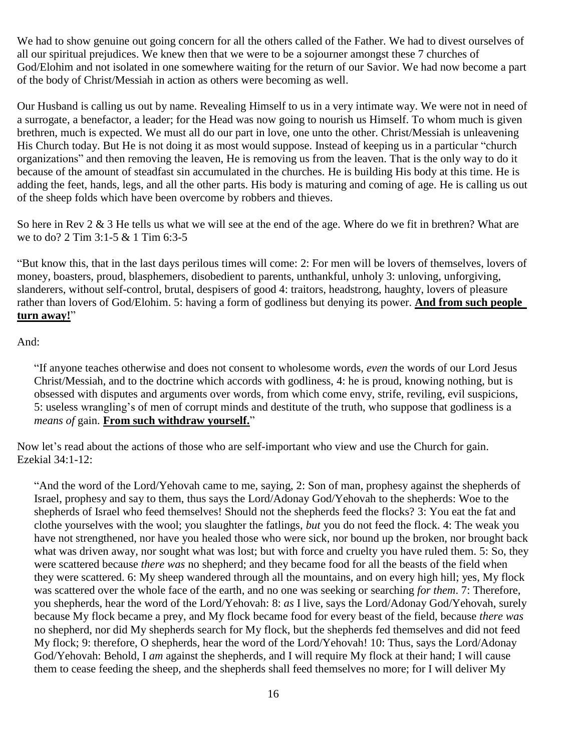We had to show genuine out going concern for all the others called of the Father. We had to divest ourselves of all our spiritual prejudices. We knew then that we were to be a sojourner amongst these 7 churches of God/Elohim and not isolated in one somewhere waiting for the return of our Savior. We had now become a part of the body of Christ/Messiah in action as others were becoming as well.

Our Husband is calling us out by name. Revealing Himself to us in a very intimate way. We were not in need of a surrogate, a benefactor, a leader; for the Head was now going to nourish us Himself. To whom much is given brethren, much is expected. We must all do our part in love, one unto the other. Christ/Messiah is unleavening His Church today. But He is not doing it as most would suppose. Instead of keeping us in a particular "church organizations" and then removing the leaven, He is removing us from the leaven. That is the only way to do it because of the amount of steadfast sin accumulated in the churches. He is building His body at this time. He is adding the feet, hands, legs, and all the other parts. His body is maturing and coming of age. He is calling us out of the sheep folds which have been overcome by robbers and thieves.

So here in Rev 2 & 3 He tells us what we will see at the end of the age. Where do we fit in brethren? What are we to do? 2 Tim 3:1-5 & 1 Tim 6:3-5

"But know this, that in the last days perilous times will come: 2: For men will be lovers of themselves, lovers of money, boasters, proud, blasphemers, disobedient to parents, unthankful, unholy 3: unloving, unforgiving, slanderers, without self-control, brutal, despisers of good 4: traitors, headstrong, haughty, lovers of pleasure rather than lovers of God/Elohim. 5: having a form of godliness but denying its power. **And from such people turn away!**"

## And:

"If anyone teaches otherwise and does not consent to wholesome words, *even* the words of our Lord Jesus Christ/Messiah, and to the doctrine which accords with godliness, 4: he is proud, knowing nothing, but is obsessed with disputes and arguments over words, from which come envy, strife, reviling, evil suspicions, 5: useless wrangling's of men of corrupt minds and destitute of the truth, who suppose that godliness is a *means of* gain. **From such withdraw yourself.**"

Now let's read about the actions of those who are self-important who view and use the Church for gain. Ezekial 34:1-12:

"And the word of the Lord/Yehovah came to me, saying, 2: Son of man, prophesy against the shepherds of Israel, prophesy and say to them, thus says the Lord/Adonay God/Yehovah to the shepherds: Woe to the shepherds of Israel who feed themselves! Should not the shepherds feed the flocks? 3: You eat the fat and clothe yourselves with the wool; you slaughter the fatlings, *but* you do not feed the flock. 4: The weak you have not strengthened, nor have you healed those who were sick, nor bound up the broken, nor brought back what was driven away, nor sought what was lost; but with force and cruelty you have ruled them. 5: So, they were scattered because *there was* no shepherd; and they became food for all the beasts of the field when they were scattered. 6: My sheep wandered through all the mountains, and on every high hill; yes, My flock was scattered over the whole face of the earth, and no one was seeking or searching *for them*. 7: Therefore, you shepherds, hear the word of the Lord/Yehovah: 8: *as* I live, says the Lord/Adonay God/Yehovah, surely because My flock became a prey, and My flock became food for every beast of the field, because *there was* no shepherd, nor did My shepherds search for My flock, but the shepherds fed themselves and did not feed My flock; 9: therefore, O shepherds, hear the word of the Lord/Yehovah! 10: Thus, says the Lord/Adonay God/Yehovah: Behold, I *am* against the shepherds, and I will require My flock at their hand; I will cause them to cease feeding the sheep, and the shepherds shall feed themselves no more; for I will deliver My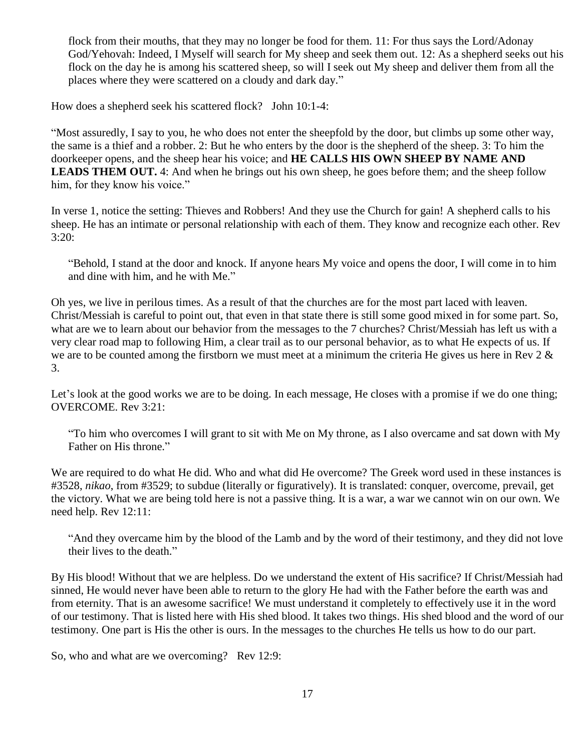flock from their mouths, that they may no longer be food for them. 11: For thus says the Lord/Adonay God/Yehovah: Indeed, I Myself will search for My sheep and seek them out. 12: As a shepherd seeks out his flock on the day he is among his scattered sheep, so will I seek out My sheep and deliver them from all the places where they were scattered on a cloudy and dark day."

How does a shepherd seek his scattered flock? John 10:1-4:

"Most assuredly, I say to you, he who does not enter the sheepfold by the door, but climbs up some other way, the same is a thief and a robber. 2: But he who enters by the door is the shepherd of the sheep. 3: To him the doorkeeper opens, and the sheep hear his voice; and **HE CALLS HIS OWN SHEEP BY NAME AND LEADS THEM OUT.** 4: And when he brings out his own sheep, he goes before them; and the sheep follow him, for they know his voice."

In verse 1, notice the setting: Thieves and Robbers! And they use the Church for gain! A shepherd calls to his sheep. He has an intimate or personal relationship with each of them. They know and recognize each other. Rev 3:20:

"Behold, I stand at the door and knock. If anyone hears My voice and opens the door, I will come in to him and dine with him, and he with Me."

Oh yes, we live in perilous times. As a result of that the churches are for the most part laced with leaven. Christ/Messiah is careful to point out, that even in that state there is still some good mixed in for some part. So, what are we to learn about our behavior from the messages to the 7 churches? Christ/Messiah has left us with a very clear road map to following Him, a clear trail as to our personal behavior, as to what He expects of us. If we are to be counted among the firstborn we must meet at a minimum the criteria He gives us here in Rev 2 & 3.

Let's look at the good works we are to be doing. In each message, He closes with a promise if we do one thing; OVERCOME. Rev 3:21:

"To him who overcomes I will grant to sit with Me on My throne, as I also overcame and sat down with My Father on His throne."

We are required to do what He did. Who and what did He overcome? The Greek word used in these instances is #3528, *nikao*, from #3529; to subdue (literally or figuratively). It is translated: conquer, overcome, prevail, get the victory. What we are being told here is not a passive thing. It is a war, a war we cannot win on our own. We need help. Rev 12:11:

"And they overcame him by the blood of the Lamb and by the word of their testimony, and they did not love their lives to the death."

By His blood! Without that we are helpless. Do we understand the extent of His sacrifice? If Christ/Messiah had sinned, He would never have been able to return to the glory He had with the Father before the earth was and from eternity. That is an awesome sacrifice! We must understand it completely to effectively use it in the word of our testimony. That is listed here with His shed blood. It takes two things. His shed blood and the word of our testimony. One part is His the other is ours. In the messages to the churches He tells us how to do our part.

So, who and what are we overcoming? Rev 12:9: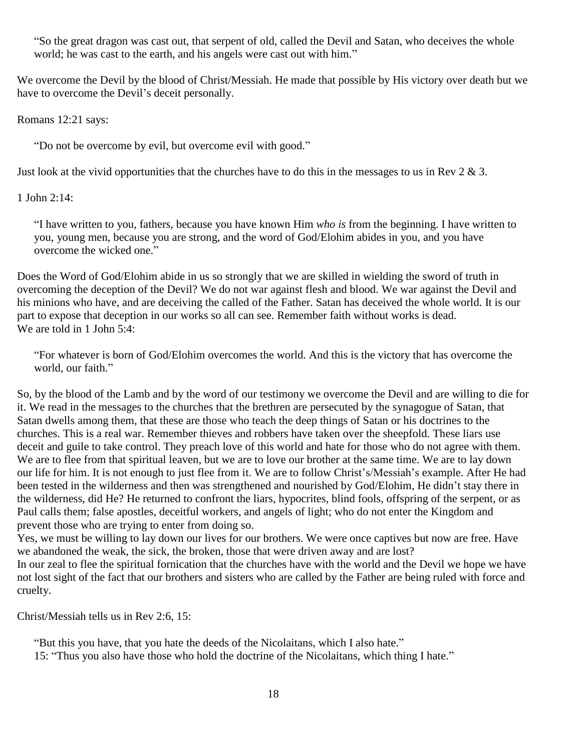"So the great dragon was cast out, that serpent of old, called the Devil and Satan, who deceives the whole world; he was cast to the earth, and his angels were cast out with him."

We overcome the Devil by the blood of Christ/Messiah. He made that possible by His victory over death but we have to overcome the Devil's deceit personally.

Romans 12:21 says:

"Do not be overcome by evil, but overcome evil with good."

Just look at the vivid opportunities that the churches have to do this in the messages to us in Rev  $2 \& 3$ .

1 John 2:14:

"I have written to you, fathers, because you have known Him *who is* from the beginning. I have written to you, young men, because you are strong, and the word of God/Elohim abides in you, and you have overcome the wicked one."

Does the Word of God/Elohim abide in us so strongly that we are skilled in wielding the sword of truth in overcoming the deception of the Devil? We do not war against flesh and blood. We war against the Devil and his minions who have, and are deceiving the called of the Father. Satan has deceived the whole world. It is our part to expose that deception in our works so all can see. Remember faith without works is dead. We are told in 1 John 5:4:

"For whatever is born of God/Elohim overcomes the world. And this is the victory that has overcome the world, our faith."

So, by the blood of the Lamb and by the word of our testimony we overcome the Devil and are willing to die for it. We read in the messages to the churches that the brethren are persecuted by the synagogue of Satan, that Satan dwells among them, that these are those who teach the deep things of Satan or his doctrines to the churches. This is a real war. Remember thieves and robbers have taken over the sheepfold. These liars use deceit and guile to take control. They preach love of this world and hate for those who do not agree with them. We are to flee from that spiritual leaven, but we are to love our brother at the same time. We are to lay down our life for him. It is not enough to just flee from it. We are to follow Christ's/Messiah's example. After He had been tested in the wilderness and then was strengthened and nourished by God/Elohim, He didn't stay there in the wilderness, did He? He returned to confront the liars, hypocrites, blind fools, offspring of the serpent, or as Paul calls them; false apostles, deceitful workers, and angels of light; who do not enter the Kingdom and prevent those who are trying to enter from doing so.

Yes, we must be willing to lay down our lives for our brothers. We were once captives but now are free. Have we abandoned the weak, the sick, the broken, those that were driven away and are lost? In our zeal to flee the spiritual fornication that the churches have with the world and the Devil we hope we have not lost sight of the fact that our brothers and sisters who are called by the Father are being ruled with force and cruelty.

Christ/Messiah tells us in Rev 2:6, 15:

"But this you have, that you hate the deeds of the Nicolaitans, which I also hate."

15: "Thus you also have those who hold the doctrine of the Nicolaitans, which thing I hate."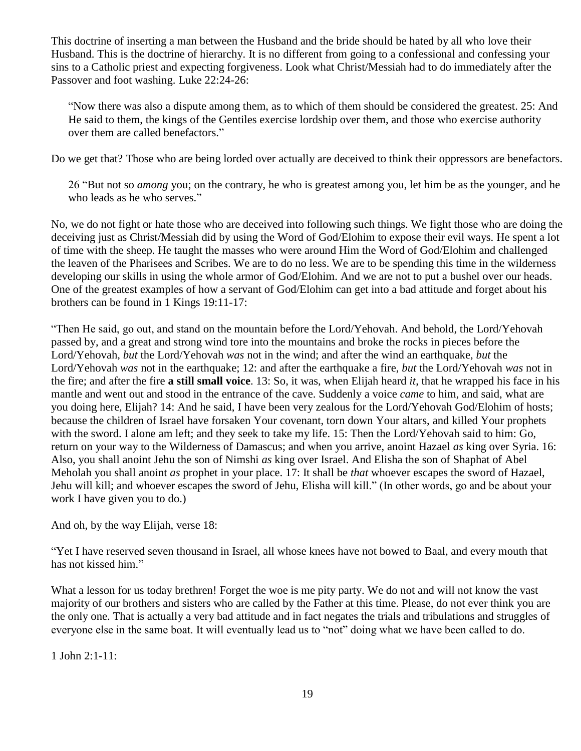This doctrine of inserting a man between the Husband and the bride should be hated by all who love their Husband. This is the doctrine of hierarchy. It is no different from going to a confessional and confessing your sins to a Catholic priest and expecting forgiveness. Look what Christ/Messiah had to do immediately after the Passover and foot washing. Luke 22:24-26:

"Now there was also a dispute among them, as to which of them should be considered the greatest. 25: And He said to them, the kings of the Gentiles exercise lordship over them, and those who exercise authority over them are called benefactors."

Do we get that? Those who are being lorded over actually are deceived to think their oppressors are benefactors.

26 "But not so *among* you; on the contrary, he who is greatest among you, let him be as the younger, and he who leads as he who serves."

No, we do not fight or hate those who are deceived into following such things. We fight those who are doing the deceiving just as Christ/Messiah did by using the Word of God/Elohim to expose their evil ways. He spent a lot of time with the sheep. He taught the masses who were around Him the Word of God/Elohim and challenged the leaven of the Pharisees and Scribes. We are to do no less. We are to be spending this time in the wilderness developing our skills in using the whole armor of God/Elohim. And we are not to put a bushel over our heads. One of the greatest examples of how a servant of God/Elohim can get into a bad attitude and forget about his brothers can be found in 1 Kings 19:11-17:

"Then He said, go out, and stand on the mountain before the Lord/Yehovah. And behold, the Lord/Yehovah passed by, and a great and strong wind tore into the mountains and broke the rocks in pieces before the Lord/Yehovah, *but* the Lord/Yehovah *was* not in the wind; and after the wind an earthquake, *but* the Lord/Yehovah *was* not in the earthquake; 12: and after the earthquake a fire, *but* the Lord/Yehovah *was* not in the fire; and after the fire **a still small voice**. 13: So, it was, when Elijah heard *it*, that he wrapped his face in his mantle and went out and stood in the entrance of the cave. Suddenly a voice *came* to him, and said, what are you doing here, Elijah? 14: And he said, I have been very zealous for the Lord/Yehovah God/Elohim of hosts; because the children of Israel have forsaken Your covenant, torn down Your altars, and killed Your prophets with the sword. I alone am left; and they seek to take my life. 15: Then the Lord/Yehovah said to him: Go, return on your way to the Wilderness of Damascus; and when you arrive, anoint Hazael *as* king over Syria. 16: Also, you shall anoint Jehu the son of Nimshi *as* king over Israel. And Elisha the son of Shaphat of Abel Meholah you shall anoint *as* prophet in your place. 17: It shall be *that* whoever escapes the sword of Hazael, Jehu will kill; and whoever escapes the sword of Jehu, Elisha will kill." (In other words, go and be about your work I have given you to do.)

And oh, by the way Elijah, verse 18:

"Yet I have reserved seven thousand in Israel, all whose knees have not bowed to Baal, and every mouth that has not kissed him."

What a lesson for us today brethren! Forget the woe is me pity party. We do not and will not know the vast majority of our brothers and sisters who are called by the Father at this time. Please, do not ever think you are the only one. That is actually a very bad attitude and in fact negates the trials and tribulations and struggles of everyone else in the same boat. It will eventually lead us to "not" doing what we have been called to do.

1 John 2:1-11: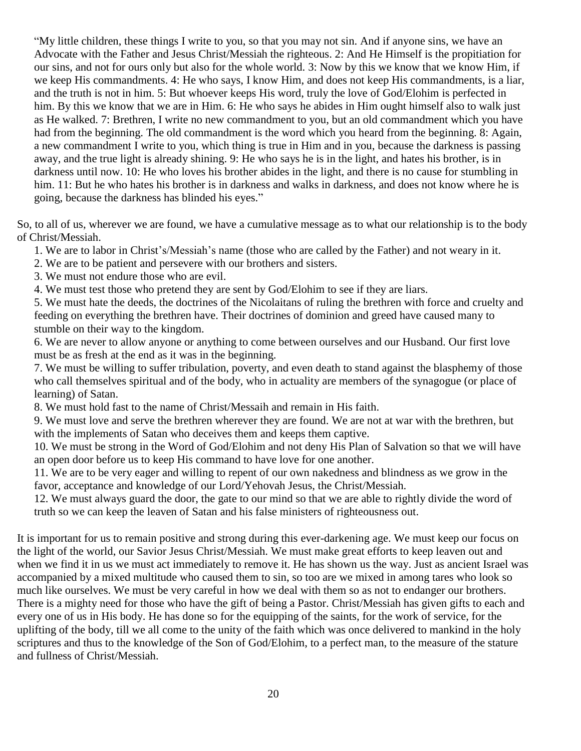"My little children, these things I write to you, so that you may not sin. And if anyone sins, we have an Advocate with the Father and Jesus Christ/Messiah the righteous. 2: And He Himself is the propitiation for our sins, and not for ours only but also for the whole world. 3: Now by this we know that we know Him, if we keep His commandments. 4: He who says, I know Him, and does not keep His commandments, is a liar, and the truth is not in him. 5: But whoever keeps His word, truly the love of God/Elohim is perfected in him. By this we know that we are in Him. 6: He who says he abides in Him ought himself also to walk just as He walked. 7: Brethren, I write no new commandment to you, but an old commandment which you have had from the beginning. The old commandment is the word which you heard from the beginning. 8: Again, a new commandment I write to you, which thing is true in Him and in you, because the darkness is passing away, and the true light is already shining. 9: He who says he is in the light, and hates his brother, is in darkness until now. 10: He who loves his brother abides in the light, and there is no cause for stumbling in him. 11: But he who hates his brother is in darkness and walks in darkness, and does not know where he is going, because the darkness has blinded his eyes."

So, to all of us, wherever we are found, we have a cumulative message as to what our relationship is to the body of Christ/Messiah.

1. We are to labor in Christ's/Messiah's name (those who are called by the Father) and not weary in it.

2. We are to be patient and persevere with our brothers and sisters.

3. We must not endure those who are evil.

4. We must test those who pretend they are sent by God/Elohim to see if they are liars.

5. We must hate the deeds, the doctrines of the Nicolaitans of ruling the brethren with force and cruelty and feeding on everything the brethren have. Their doctrines of dominion and greed have caused many to stumble on their way to the kingdom.

6. We are never to allow anyone or anything to come between ourselves and our Husband. Our first love must be as fresh at the end as it was in the beginning.

7. We must be willing to suffer tribulation, poverty, and even death to stand against the blasphemy of those who call themselves spiritual and of the body, who in actuality are members of the synagogue (or place of learning) of Satan.

8. We must hold fast to the name of Christ/Messaih and remain in His faith.

9. We must love and serve the brethren wherever they are found. We are not at war with the brethren, but with the implements of Satan who deceives them and keeps them captive.

10. We must be strong in the Word of God/Elohim and not deny His Plan of Salvation so that we will have an open door before us to keep His command to have love for one another.

11. We are to be very eager and willing to repent of our own nakedness and blindness as we grow in the favor, acceptance and knowledge of our Lord/Yehovah Jesus, the Christ/Messiah.

12. We must always guard the door, the gate to our mind so that we are able to rightly divide the word of truth so we can keep the leaven of Satan and his false ministers of righteousness out.

It is important for us to remain positive and strong during this ever-darkening age. We must keep our focus on the light of the world, our Savior Jesus Christ/Messiah. We must make great efforts to keep leaven out and when we find it in us we must act immediately to remove it. He has shown us the way. Just as ancient Israel was accompanied by a mixed multitude who caused them to sin, so too are we mixed in among tares who look so much like ourselves. We must be very careful in how we deal with them so as not to endanger our brothers. There is a mighty need for those who have the gift of being a Pastor. Christ/Messiah has given gifts to each and every one of us in His body. He has done so for the equipping of the saints, for the work of service, for the uplifting of the body, till we all come to the unity of the faith which was once delivered to mankind in the holy scriptures and thus to the knowledge of the Son of God/Elohim, to a perfect man, to the measure of the stature and fullness of Christ/Messiah.